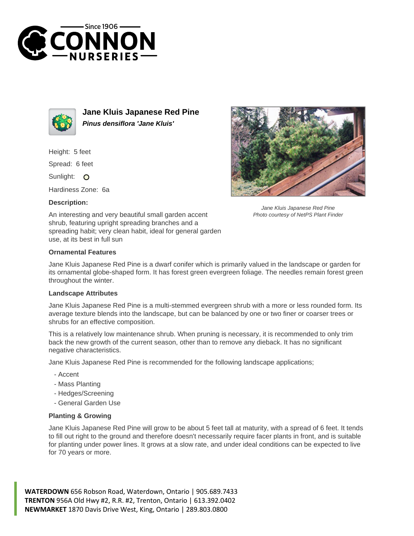



**Jane Kluis Japanese Red Pine Pinus densiflora 'Jane Kluis'**

Height: 5 feet

Spread: 6 feet

Sunlight: O

Hardiness Zone: 6a

## **Description:**



Jane Kluis Japanese Red Pine Photo courtesy of NetPS Plant Finder

An interesting and very beautiful small garden accent shrub, featuring upright spreading branches and a spreading habit; very clean habit, ideal for general garden use, at its best in full sun

## **Ornamental Features**

Jane Kluis Japanese Red Pine is a dwarf conifer which is primarily valued in the landscape or garden for its ornamental globe-shaped form. It has forest green evergreen foliage. The needles remain forest green throughout the winter.

## **Landscape Attributes**

Jane Kluis Japanese Red Pine is a multi-stemmed evergreen shrub with a more or less rounded form. Its average texture blends into the landscape, but can be balanced by one or two finer or coarser trees or shrubs for an effective composition.

This is a relatively low maintenance shrub. When pruning is necessary, it is recommended to only trim back the new growth of the current season, other than to remove any dieback. It has no significant negative characteristics.

Jane Kluis Japanese Red Pine is recommended for the following landscape applications;

- Accent
- Mass Planting
- Hedges/Screening
- General Garden Use

## **Planting & Growing**

Jane Kluis Japanese Red Pine will grow to be about 5 feet tall at maturity, with a spread of 6 feet. It tends to fill out right to the ground and therefore doesn't necessarily require facer plants in front, and is suitable for planting under power lines. It grows at a slow rate, and under ideal conditions can be expected to live for 70 years or more.

**WATERDOWN** 656 Robson Road, Waterdown, Ontario | 905.689.7433 **TRENTON** 956A Old Hwy #2, R.R. #2, Trenton, Ontario | 613.392.0402 **NEWMARKET** 1870 Davis Drive West, King, Ontario | 289.803.0800